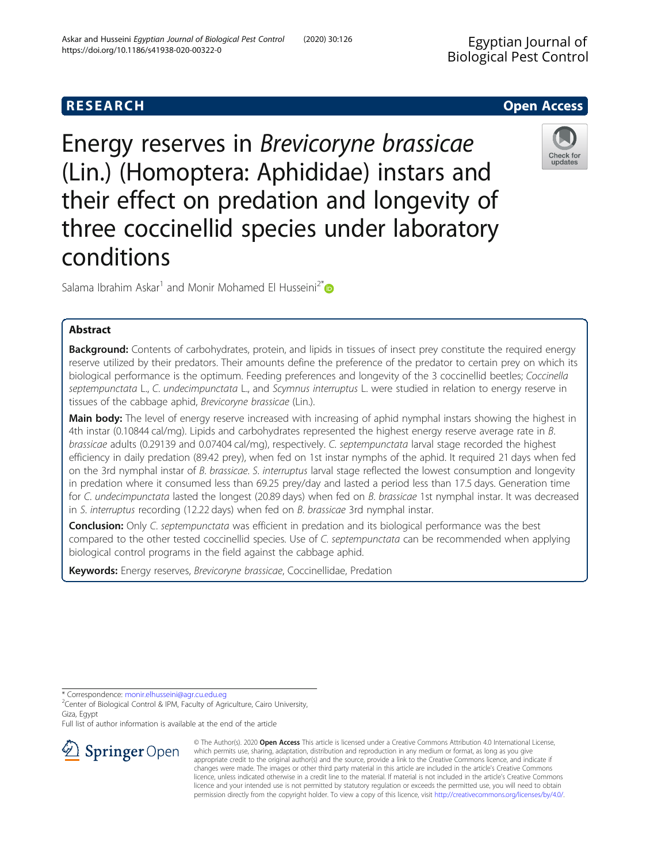Energy reserves in Brevicoryne brassicae (Lin.) (Homoptera: Aphididae) instars and their effect on predation and longevity of three coccinellid species under laboratory conditions

Salama Ibrahim Askar<sup>1</sup> and Monir Mohamed El Husseini<sup>2[\\*](http://orcid.org/0000-0002-4722-9414)</sup>

# Abstract

Background: Contents of carbohydrates, protein, and lipids in tissues of insect prey constitute the required energy reserve utilized by their predators. Their amounts define the preference of the predator to certain prey on which its biological performance is the optimum. Feeding preferences and longevity of the 3 coccinellid beetles; Coccinella septempunctata L., C. undecimpunctata L., and Scymnus interruptus L. were studied in relation to energy reserve in tissues of the cabbage aphid, Brevicoryne brassicae (Lin.).

Main body: The level of energy reserve increased with increasing of aphid nymphal instars showing the highest in 4th instar (0.10844 cal/mg). Lipids and carbohydrates represented the highest energy reserve average rate in B. brassicae adults (0.29139 and 0.07404 cal/mg), respectively. C. septempunctata larval stage recorded the highest efficiency in daily predation (89.42 prey), when fed on 1st instar nymphs of the aphid. It required 21 days when fed on the 3rd nymphal instar of B. brassicae. S. interruptus larval stage reflected the lowest consumption and longevity in predation where it consumed less than 69.25 prey/day and lasted a period less than 17.5 days. Generation time for C. undecimpunctata lasted the longest (20.89 days) when fed on B. brassicae 1st nymphal instar. It was decreased in S. interruptus recording (12.22 days) when fed on B. brassicae 3rd nymphal instar.

**Conclusion:** Only C. septempunctata was efficient in predation and its biological performance was the best compared to the other tested coccinellid species. Use of C. septempunctata can be recommended when applying biological control programs in the field against the cabbage aphid.

Keywords: Energy reserves, Brevicoryne brassicae, Coccinellidae, Predation

\* Correspondence: [monir.elhusseini@agr.cu.edu.eg](mailto:monir.elhusseini@agr.cu.edu.eg) <sup>2</sup>

<sup>2</sup> Center of Biological Control & IPM, Faculty of Agriculture, Cairo University, Giza, Egypt

Full list of author information is available at the end of the article



© The Author(s). 2020 Open Access This article is licensed under a Creative Commons Attribution 4.0 International License, which permits use, sharing, adaptation, distribution and reproduction in any medium or format, as long as you give appropriate credit to the original author(s) and the source, provide a link to the Creative Commons licence, and indicate if changes were made. The images or other third party material in this article are included in the article's Creative Commons licence, unless indicated otherwise in a credit line to the material. If material is not included in the article's Creative Commons licence and your intended use is not permitted by statutory regulation or exceeds the permitted use, you will need to obtain permission directly from the copyright holder. To view a copy of this licence, visit <http://creativecommons.org/licenses/by/4.0/>.





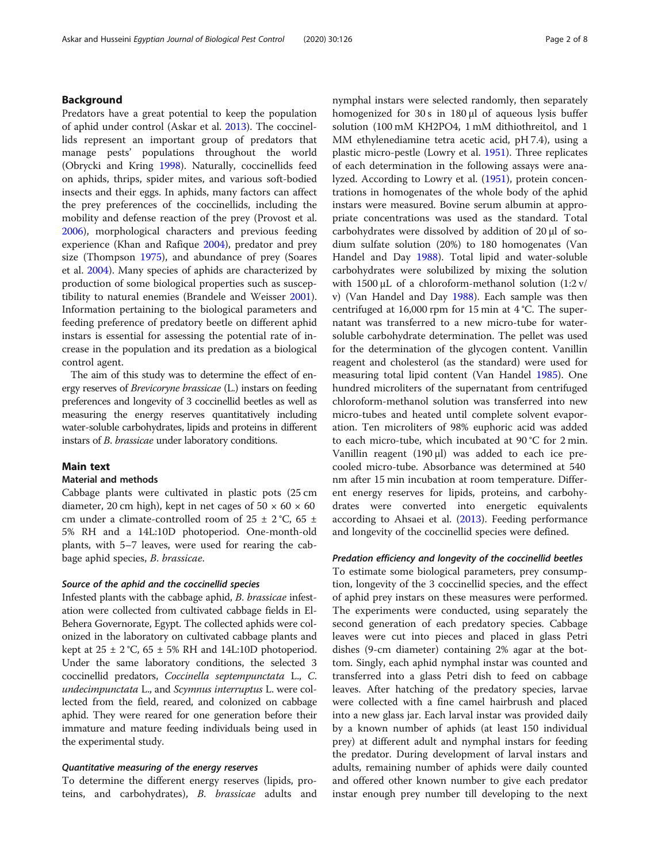# Background

Predators have a great potential to keep the population of aphid under control (Askar et al. [2013\)](#page-6-0). The coccinellids represent an important group of predators that manage pests' populations throughout the world (Obrycki and Kring [1998\)](#page-6-0). Naturally, coccinellids feed on aphids, thrips, spider mites, and various soft-bodied insects and their eggs. In aphids, many factors can affect the prey preferences of the coccinellids, including the mobility and defense reaction of the prey (Provost et al. [2006](#page-6-0)), morphological characters and previous feeding experience (Khan and Rafique [2004](#page-6-0)), predator and prey size (Thompson [1975](#page-7-0)), and abundance of prey (Soares et al. [2004\)](#page-7-0). Many species of aphids are characterized by production of some biological properties such as susceptibility to natural enemies (Brandele and Weisser [2001](#page-6-0)). Information pertaining to the biological parameters and feeding preference of predatory beetle on different aphid instars is essential for assessing the potential rate of increase in the population and its predation as a biological control agent.

The aim of this study was to determine the effect of energy reserves of Brevicoryne brassicae (L.) instars on feeding preferences and longevity of 3 coccinellid beetles as well as measuring the energy reserves quantitatively including water-soluble carbohydrates, lipids and proteins in different instars of B. brassicae under laboratory conditions.

## Main text

## Material and methods

Cabbage plants were cultivated in plastic pots (25 cm diameter, 20 cm high), kept in net cages of  $50 \times 60 \times 60$ cm under a climate-controlled room of  $25 \pm 2$  °C, 65  $\pm$ 5% RH and a 14L:10D photoperiod. One-month-old plants, with 5–7 leaves, were used for rearing the cabbage aphid species, B. brassicae.

## Source of the aphid and the coccinellid species

Infested plants with the cabbage aphid, B. brassicae infestation were collected from cultivated cabbage fields in El-Behera Governorate, Egypt. The collected aphids were colonized in the laboratory on cultivated cabbage plants and kept at  $25 \pm 2$  °C,  $65 \pm 5$ % RH and 14L:10D photoperiod. Under the same laboratory conditions, the selected 3 coccinellid predators, Coccinella septempunctata L., C. undecimpunctata L., and Scymnus interruptus L. were collected from the field, reared, and colonized on cabbage aphid. They were reared for one generation before their immature and mature feeding individuals being used in the experimental study.

## Quantitative measuring of the energy reserves

To determine the different energy reserves (lipids, proteins, and carbohydrates), B. brassicae adults and nymphal instars were selected randomly, then separately homogenized for 30 s in 180 μl of aqueous lysis buffer solution (100 mM KH2PO4, 1 mM dithiothreitol, and 1 MM ethylenediamine tetra acetic acid, pH 7.4), using a plastic micro-pestle (Lowry et al. [1951\)](#page-6-0). Three replicates of each determination in the following assays were analyzed. According to Lowry et al. [\(1951](#page-6-0)), protein concentrations in homogenates of the whole body of the aphid instars were measured. Bovine serum albumin at appropriate concentrations was used as the standard. Total carbohydrates were dissolved by addition of 20 μl of sodium sulfate solution (20%) to 180 homogenates (Van Handel and Day [1988](#page-7-0)). Total lipid and water-soluble carbohydrates were solubilized by mixing the solution with 1500 μL of a chloroform-methanol solution (1:2 v/ v) (Van Handel and Day [1988](#page-7-0)). Each sample was then centrifuged at 16,000 rpm for 15 min at 4 °C. The supernatant was transferred to a new micro-tube for watersoluble carbohydrate determination. The pellet was used for the determination of the glycogen content. Vanillin reagent and cholesterol (as the standard) were used for measuring total lipid content (Van Handel [1985](#page-7-0)). One hundred microliters of the supernatant from centrifuged chloroform-methanol solution was transferred into new micro-tubes and heated until complete solvent evaporation. Ten microliters of 98% euphoric acid was added to each micro-tube, which incubated at 90 °C for 2 min. Vanillin reagent (190 μl) was added to each ice precooled micro-tube. Absorbance was determined at 540 nm after 15 min incubation at room temperature. Different energy reserves for lipids, proteins, and carbohydrates were converted into energetic equivalents according to Ahsaei et al. ([2013](#page-6-0)). Feeding performance and longevity of the coccinellid species were defined.

## Predation efficiency and longevity of the coccinellid beetles

To estimate some biological parameters, prey consumption, longevity of the 3 coccinellid species, and the effect of aphid prey instars on these measures were performed. The experiments were conducted, using separately the second generation of each predatory species. Cabbage leaves were cut into pieces and placed in glass Petri dishes (9-cm diameter) containing 2% agar at the bottom. Singly, each aphid nymphal instar was counted and transferred into a glass Petri dish to feed on cabbage leaves. After hatching of the predatory species, larvae were collected with a fine camel hairbrush and placed into a new glass jar. Each larval instar was provided daily by a known number of aphids (at least 150 individual prey) at different adult and nymphal instars for feeding the predator. During development of larval instars and adults, remaining number of aphids were daily counted and offered other known number to give each predator instar enough prey number till developing to the next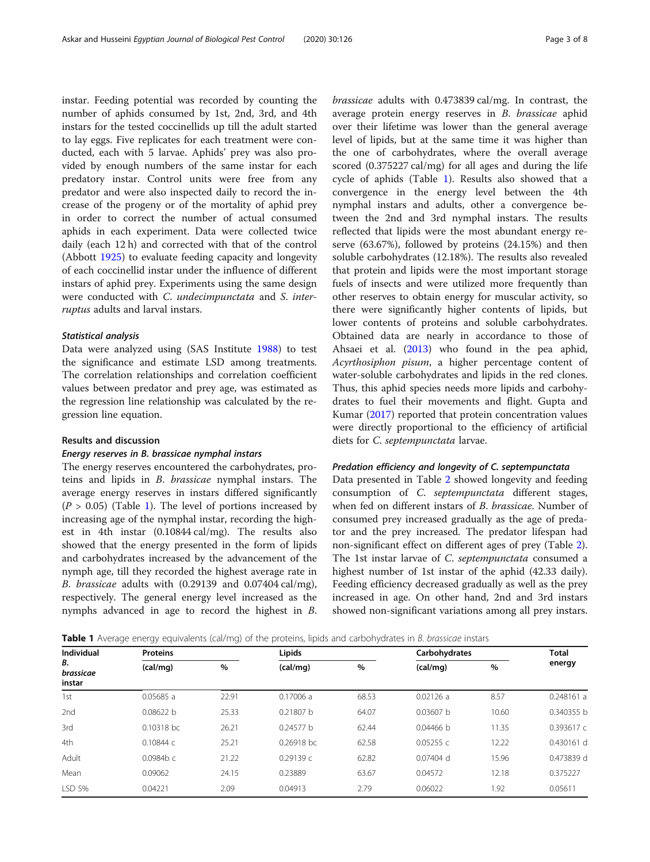instar. Feeding potential was recorded by counting the number of aphids consumed by 1st, 2nd, 3rd, and 4th instars for the tested coccinellids up till the adult started to lay eggs. Five replicates for each treatment were conducted, each with 5 larvae. Aphids' prey was also provided by enough numbers of the same instar for each predatory instar. Control units were free from any predator and were also inspected daily to record the increase of the progeny or of the mortality of aphid prey in order to correct the number of actual consumed aphids in each experiment. Data were collected twice daily (each 12 h) and corrected with that of the control (Abbott [1925\)](#page-6-0) to evaluate feeding capacity and longevity of each coccinellid instar under the influence of different instars of aphid prey. Experiments using the same design were conducted with C. undecimpunctata and S. interruptus adults and larval instars.

### Statistical analysis

Data were analyzed using (SAS Institute [1988\)](#page-7-0) to test the significance and estimate LSD among treatments. The correlation relationships and correlation coefficient values between predator and prey age, was estimated as the regression line relationship was calculated by the regression line equation.

## Results and discussion

## Energy reserves in B. brassicae nymphal instars

The energy reserves encountered the carbohydrates, proteins and lipids in B. brassicae nymphal instars. The average energy reserves in instars differed significantly  $(P > 0.05)$  (Table 1). The level of portions increased by increasing age of the nymphal instar, recording the highest in 4th instar (0.10844 cal/mg). The results also showed that the energy presented in the form of lipids and carbohydrates increased by the advancement of the nymph age, till they recorded the highest average rate in B. brassicae adults with (0.29139 and 0.07404 cal/mg), respectively. The general energy level increased as the nymphs advanced in age to record the highest in B. brassicae adults with 0.473839 cal/mg. In contrast, the average protein energy reserves in B. brassicae aphid over their lifetime was lower than the general average level of lipids, but at the same time it was higher than the one of carbohydrates, where the overall average scored (0.375227 cal/mg) for all ages and during the life cycle of aphids (Table 1). Results also showed that a convergence in the energy level between the 4th nymphal instars and adults, other a convergence between the 2nd and 3rd nymphal instars. The results reflected that lipids were the most abundant energy reserve (63.67%), followed by proteins (24.15%) and then soluble carbohydrates (12.18%). The results also revealed that protein and lipids were the most important storage fuels of insects and were utilized more frequently than other reserves to obtain energy for muscular activity, so there were significantly higher contents of lipids, but lower contents of proteins and soluble carbohydrates. Obtained data are nearly in accordance to those of Ahsaei et al. ([2013\)](#page-6-0) who found in the pea aphid, Acyrthosiphon pisum, a higher percentage content of water-soluble carbohydrates and lipids in the red clones. Thus, this aphid species needs more lipids and carbohydrates to fuel their movements and flight. Gupta and Kumar ([2017\)](#page-6-0) reported that protein concentration values were directly proportional to the efficiency of artificial diets for C. septempunctata larvae.

#### Predation efficiency and longevity of C. septempunctata

Data presented in Table [2](#page-3-0) showed longevity and feeding consumption of C. septempunctata different stages, when fed on different instars of B. brassicae. Number of consumed prey increased gradually as the age of predator and the prey increased. The predator lifespan had non-significant effect on different ages of prey (Table [2](#page-3-0)). The 1st instar larvae of C. septempunctata consumed a highest number of 1st instar of the aphid (42.33 daily). Feeding efficiency decreased gradually as well as the prey increased in age. On other hand, 2nd and 3rd instars showed non-significant variations among all prey instars.

**Table 1** Average energy equivalents (cal/mg) of the proteins, lipids and carbohydrates in B. brassicae instars

| Individual<br>В.<br>brassicae<br>instar | <b>Proteins</b> |       | Lipids       |       | Carbohydrates | <b>Total</b> |            |
|-----------------------------------------|-----------------|-------|--------------|-------|---------------|--------------|------------|
|                                         | (cal/mg)        | %     | (cal/mg)     | %     | (cal/mq)      | %            | energy     |
| 1st                                     | 0.05685 a       | 22.91 | 0.17006a     | 68.53 | 0.02126a      | 8.57         | 0.248161a  |
| 2nd                                     | 0.08622 b       | 25.33 | 0.21807 b    | 64.07 | 0.03607 b     | 10.60        | 0.340355 b |
| 3rd                                     | 0.10318 bc      | 26.21 | 0.24577 b    | 62.44 | 0.04466 h     | 11.35        | 0.393617 c |
| 4th                                     | 0.10844 с       | 25.21 | $0.26918$ bc | 62.58 | 0.05255c      | 12.22        | 0.430161 d |
| Adult                                   | $0.0984b$ c     | 21.22 | 0.29139c     | 62.82 | $0.07404$ d   | 15.96        | 0.473839 d |
| Mean                                    | 0.09062         | 24.15 | 0.23889      | 63.67 | 0.04572       | 12.18        | 0.375227   |
| LSD 5%                                  | 0.04221         | 2.09  | 0.04913      | 2.79  | 0.06022       | 1.92         | 0.05611    |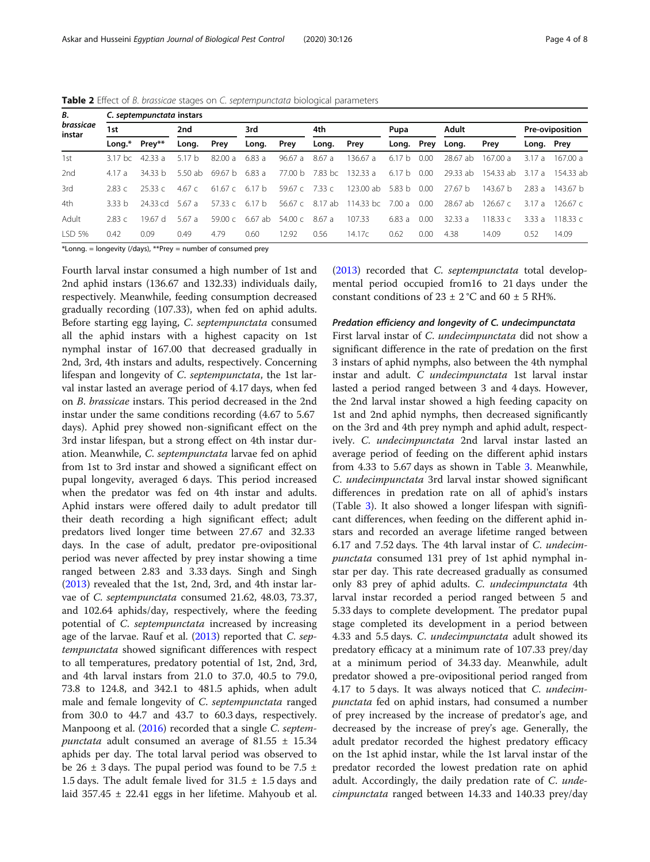| В.<br>brassicae<br>instar |                    | C. septempunctata instars |         |                   |           |                |                 |           |        |      |                    |            |                 |           |  |  |
|---------------------------|--------------------|---------------------------|---------|-------------------|-----------|----------------|-----------------|-----------|--------|------|--------------------|------------|-----------------|-----------|--|--|
|                           | 1st                |                           | 2nd     |                   | 3rd       |                | 4th             |           | Pupa   |      | Adult              |            | Pre-oviposition |           |  |  |
|                           | Lona.*             | Prev**                    | Long.   | Prey              | Long.     | Prey           | Long.           | Prey      | Long.  | Prey | Long.              | Prev       | Long. Prey      |           |  |  |
| 1st                       | 3.17 <sub>bc</sub> | 42.33a                    | 5.17h   | 82.00a            | 6.83 a    | 96.67 a        | 8.67 a          | 136.67a   | 6.17h  | 0.00 | 28.67 ab           | 167.00a    | 3.17a           | 167.00 a  |  |  |
| 2nd                       | 4.17a              | 34.33 b                   | 5.50 ab | 69.67 b           | 6.83 a    |                | 77.00 b 7.83 bc | 132.33 a  | 6.17 b | 0.00 | 29.33 ab           | 154.33 ab  | 3.17a           | 154.33 ab |  |  |
| 3rd                       | 2.83c              | 25.33c                    | 4.67 c  | 61.67c            | 6.17 b    | 59.67 c 7.33 c |                 | 123.00 ab | 5.83 b | 0.00 | 27.67 <sub>b</sub> | 143.67 b   | 2.83a           | 143.67 b  |  |  |
| 4th                       | 333 h              | 24.33 cd                  | 5.67a   | 57.33 $c$         | 6.17h     | 56.67 c        | 8.17 ab         | 114.33 bc | 7.00a  | 0.00 | 28.67 ab           | 126.67 $c$ | 3.17a           | 12667c    |  |  |
| Adult                     | 2.83c              | 1967 d                    | 5.67a   | $59.00 \text{ C}$ | $6.67$ ab | 54.00c         | 8.67 a          | 107.33    | 6.83a  | 0.00 | 32.33 a            | 118.33c    | 3.33a           | 11833c    |  |  |
| LSD 5%                    | 0.42               | 0.09                      | 0.49    | 4.79              | 0.60      | 12.92          | 0.56            | 14.17c    | 0.62   | 0.00 | 4.38               | 14.09      | 0.52            | 14.09     |  |  |

<span id="page-3-0"></span>Table 2 Effect of B. brassicae stages on C. septempunctata biological parameters

\*Lonng. = longevity (/days), \*\*Prey = number of consumed prey

Fourth larval instar consumed a high number of 1st and 2nd aphid instars (136.67 and 132.33) individuals daily, respectively. Meanwhile, feeding consumption decreased gradually recording (107.33), when fed on aphid adults. Before starting egg laying, C. septempunctata consumed all the aphid instars with a highest capacity on 1st nymphal instar of 167.00 that decreased gradually in 2nd, 3rd, 4th instars and adults, respectively. Concerning lifespan and longevity of C. septempunctata, the 1st larval instar lasted an average period of 4.17 days, when fed on B. brassicae instars. This period decreased in the 2nd instar under the same conditions recording (4.67 to 5.67 days). Aphid prey showed non-significant effect on the 3rd instar lifespan, but a strong effect on 4th instar duration. Meanwhile, C. septempunctata larvae fed on aphid from 1st to 3rd instar and showed a significant effect on pupal longevity, averaged 6 days. This period increased when the predator was fed on 4th instar and adults. Aphid instars were offered daily to adult predator till their death recording a high significant effect; adult predators lived longer time between 27.67 and 32.33 days. In the case of adult, predator pre-ovipositional period was never affected by prey instar showing a time ranged between 2.83 and 3.33 days. Singh and Singh ([2013](#page-7-0)) revealed that the 1st, 2nd, 3rd, and 4th instar larvae of C. septempunctata consumed 21.62, 48.03, 73.37, and 102.64 aphids/day, respectively, where the feeding potential of C. septempunctata increased by increasing age of the larvae. Rauf et al. ([2013](#page-7-0)) reported that C. septempunctata showed significant differences with respect to all temperatures, predatory potential of 1st, 2nd, 3rd, and 4th larval instars from 21.0 to 37.0, 40.5 to 79.0, 73.8 to 124.8, and 342.1 to 481.5 aphids, when adult male and female longevity of C. septempunctata ranged from 30.0 to 44.7 and 43.7 to 60.3 days, respectively. Manpoong et al. ([2016\)](#page-6-0) recorded that a single *C. septem*punctata adult consumed an average of 81.55  $\pm$  15.34 aphids per day. The total larval period was observed to be 26  $\pm$  3 days. The pupal period was found to be 7.5  $\pm$ 1.5 days. The adult female lived for  $31.5 \pm 1.5$  days and laid 357.45 ± 22.41 eggs in her lifetime. Mahyoub et al.

([2013\)](#page-6-0) recorded that C. septempunctata total developmental period occupied from16 to 21 days under the constant conditions of  $23 \pm 2$  °C and  $60 \pm 5$  RH%.

### Predation efficiency and longevity of C. undecimpunctata

First larval instar of C. *undecimpunctata* did not show a significant difference in the rate of predation on the first 3 instars of aphid nymphs, also between the 4th nymphal instar and adult. C undecimpunctata 1st larval instar lasted a period ranged between 3 and 4 days. However, the 2nd larval instar showed a high feeding capacity on 1st and 2nd aphid nymphs, then decreased significantly on the 3rd and 4th prey nymph and aphid adult, respectively. C. undecimpunctata 2nd larval instar lasted an average period of feeding on the different aphid instars from 4.33 to 5.67 days as shown in Table [3.](#page-4-0) Meanwhile, C. undecimpunctata 3rd larval instar showed significant differences in predation rate on all of aphid's instars (Table [3\)](#page-4-0). It also showed a longer lifespan with significant differences, when feeding on the different aphid instars and recorded an average lifetime ranged between 6.17 and 7.52 days. The 4th larval instar of C. undecimpunctata consumed 131 prey of 1st aphid nymphal instar per day. This rate decreased gradually as consumed only 83 prey of aphid adults. C. undecimpunctata 4th larval instar recorded a period ranged between 5 and 5.33 days to complete development. The predator pupal stage completed its development in a period between 4.33 and 5.5 days. C. undecimpunctata adult showed its predatory efficacy at a minimum rate of 107.33 prey/day at a minimum period of 34.33 day. Meanwhile, adult predator showed a pre-ovipositional period ranged from 4.17 to 5 days. It was always noticed that C. undecimpunctata fed on aphid instars, had consumed a number of prey increased by the increase of predator's age, and decreased by the increase of prey's age. Generally, the adult predator recorded the highest predatory efficacy on the 1st aphid instar, while the 1st larval instar of the predator recorded the lowest predation rate on aphid adult. Accordingly, the daily predation rate of C. undecimpunctata ranged between 14.33 and 140.33 prey/day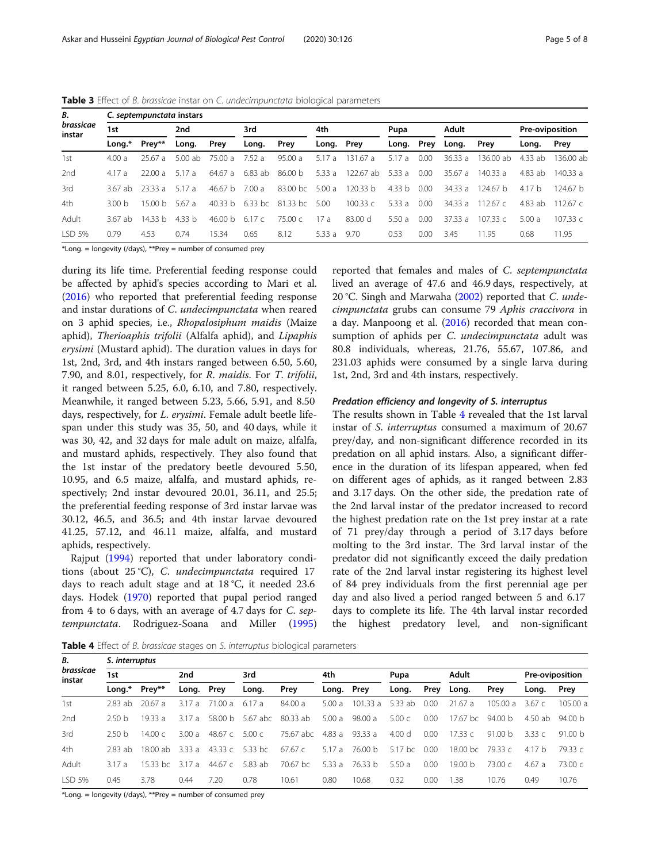| В.<br>brassicae<br>instar |         | C. septempunctata instars |         |         |         |            |            |           |        |      |         |            |                 |                     |  |  |
|---------------------------|---------|---------------------------|---------|---------|---------|------------|------------|-----------|--------|------|---------|------------|-----------------|---------------------|--|--|
|                           | 1st     |                           | 2nd     |         | 3rd     |            | 4th        |           | Pupa   |      | Adult   |            | Pre-oviposition |                     |  |  |
|                           | Long.*  | Prey**                    | Long.   | Prey    | Long.   | Prey       | Long. Prey |           | Long.  | Prey | Long.   | Prey       | Long.           | Prey                |  |  |
| 1st                       | 4.00a   | 25.67a                    | 5.00 ab | 75.00 a | 7.52a   | 95.00a     | 5.17 a     | 131.67 a  | 5.17a  | 0.00 | 36.33a  | 136.00 ab  | $4.33$ ab       | $136.00$ ab         |  |  |
| 2nd                       | 4.17a   | 22.00a                    | 5.17a   | 64.67 a | 6.83 ab | 86.00 b    | 5.33a      | 122.67 ab | 5.33a  | 0.00 | 35.67a  | 140.33 a   | 4.83 ab         | 140.33a             |  |  |
| 3rd                       | 367 ah  | 2333 a                    | 5.17a   | 46.67 h | 7.00 a  | $83.00$ bc | 5.00a      | 120.33 h  | 4.33 b | 0.00 | 34.33 a | 124.67 h   | 4.17h           | 124.67 <sub>b</sub> |  |  |
| 4th                       | 300 h   | 1500h                     | 5.67a   | 40.33 h | 6.33 bc | 81.33 bc   | 5.00       | 100.33c   | 5.33a  | 0.00 | 34.33 a | 112.67 $c$ | 4.83 ab         | 11267 $c$           |  |  |
| Adult                     | 3.67 ab | 1433 h                    | 4.33 b  | 46.00 h | 6.17c   | 75.00c     | 17a        | 83.00 d   | 5.50a  | 0.00 | 37.33 a | 107.33c    | 5.00a           | 107.33c             |  |  |
| LSD 5%                    | 0.79    | 4.53                      | 0.74    | 15.34   | 0.65    | 8.12       | 5.33 a     | 9.70      | 0.53   | 0.00 | 3.45    | 11.95      | 0.68            | 11.95               |  |  |

<span id="page-4-0"></span>Table 3 Effect of B. brassicae instar on C. undecimpunctata biological parameters

\*Long. = longevity (/days), \*\*Prey = number of consumed prey

during its life time. Preferential feeding response could be affected by aphid's species according to Mari et al. ([2016](#page-6-0)) who reported that preferential feeding response and instar durations of C. undecimpunctata when reared on 3 aphid species, i.e., Rhopalosiphum maidis (Maize aphid), Therioaphis trifolii (Alfalfa aphid), and Lipaphis erysimi (Mustard aphid). The duration values in days for 1st, 2nd, 3rd, and 4th instars ranged between 6.50, 5.60, 7.90, and 8.01, respectively, for R. maidis. For T. trifolii, it ranged between 5.25, 6.0, 6.10, and 7.80, respectively. Meanwhile, it ranged between 5.23, 5.66, 5.91, and 8.50 days, respectively, for *L. erysimi*. Female adult beetle lifespan under this study was 35, 50, and 40 days, while it was 30, 42, and 32 days for male adult on maize, alfalfa, and mustard aphids, respectively. They also found that the 1st instar of the predatory beetle devoured 5.50, 10.95, and 6.5 maize, alfalfa, and mustard aphids, respectively; 2nd instar devoured 20.01, 36.11, and 25.5; the preferential feeding response of 3rd instar larvae was 30.12, 46.5, and 36.5; and 4th instar larvae devoured 41.25, 57.12, and 46.11 maize, alfalfa, and mustard aphids, respectively.

Rajput [\(1994](#page-6-0)) reported that under laboratory conditions (about 25 °C), C. undecimpunctata required 17 days to reach adult stage and at 18 °C, it needed 23.6 days. Hodek [\(1970](#page-6-0)) reported that pupal period ranged from 4 to 6 days, with an average of 4.7 days for C. septempunctata. Rodriguez-Soana and Miller ([1995](#page-7-0)) reported that females and males of C. septempunctata lived an average of 47.6 and 46.9 days, respectively, at 20 °C. Singh and Marwaha [\(2002\)](#page-7-0) reported that C. undecimpunctata grubs can consume 79 Aphis craccivora in a day. Manpoong et al. ([2016\)](#page-6-0) recorded that mean consumption of aphids per C. undecimpunctata adult was 80.8 individuals, whereas, 21.76, 55.67, 107.86, and 231.03 aphids were consumed by a single larva during 1st, 2nd, 3rd and 4th instars, respectively.

#### Predation efficiency and longevity of S. interruptus

The results shown in Table 4 revealed that the 1st larval instar of S. interruptus consumed a maximum of 20.67 prey/day, and non-significant difference recorded in its predation on all aphid instars. Also, a significant difference in the duration of its lifespan appeared, when fed on different ages of aphids, as it ranged between 2.83 and 3.17 days. On the other side, the predation rate of the 2nd larval instar of the predator increased to record the highest predation rate on the 1st prey instar at a rate of 71 prey/day through a period of 3.17 days before molting to the 3rd instar. The 3rd larval instar of the predator did not significantly exceed the daily predation rate of the 2nd larval instar registering its highest level of 84 prey individuals from the first perennial age per day and also lived a period ranged between 5 and 6.17 days to complete its life. The 4th larval instar recorded the highest predatory level, and non-significant

Table 4 Effect of B. brassicae stages on S. interruptus biological parameters

| В.<br>brassicae<br>instar | S. interruptus    |                  |            |         |                 |           |            |         |                   |      |                    |           |                 |         |  |
|---------------------------|-------------------|------------------|------------|---------|-----------------|-----------|------------|---------|-------------------|------|--------------------|-----------|-----------------|---------|--|
|                           | 1st               |                  | 2nd        |         | 3rd             |           | 4th        |         | Pupa              |      | Adult              |           | Pre-oviposition |         |  |
|                           | Long.*            | Prey**           | Long. Prey |         | Long.           | Prey      | Long. Prey |         | Long.             | Prey | Long.              | Prey      | Long.           | Prey    |  |
| 1st                       | 2.83 ab           | 20.67a           | 3.17a      | 71.00 a | 6.17 a          | 84.00 a   | 5.00a      | 101.33a | 5.33 ab           | 0.00 | 21.67a             | 105.00 a  | 3.67 $c$        | 105.00a |  |
| 2nd                       | 250 h             | 19.33 a          | 317 a      | 58.00 b | 5.67 abc        | 80.33 ab  | 5.00a      | 98.00 a | 5.00 <sub>c</sub> | 0.00 | 17.67 $bc$         | 94.00 b   | 4.50 ab         | 94.00 b |  |
| 3rd                       | 2.50 <sub>b</sub> | 14.00 $\epsilon$ | 3.00 a     | 48.67 с | 5.00 c          | 75.67 abc | 4.83 a     | 93.33 a | 4.00 <sub>d</sub> | 0.00 | 17.33c             | 91.00 $h$ | 3.33 $c$        | 91.00 b |  |
| 4th                       | 2.83 ab           | 18.00 ab         | 3.33 a     |         | 43.33 c 5.33 bc | 67.67c    | 5.17 a     | 76.00 b | $5.17$ bc         | 0.00 | 18.00 bc 79.33 c   |           | 4.17 b          | 79.33 c |  |
| Adult                     | 317 a             | $1533$ hc        | 317 a      | 44.67 c | 5.83 ab         | 70.67 bc  | 5.33 a     | 76.33 b | 5.50a             | 0.00 | 19.00 <sub>b</sub> | 73.00c    | 4.67a           | 73.00c  |  |
| LSD 5%                    | 0.45              | 3.78             | 0.44       | 7.20    | 0.78            | 10.61     | 0.80       | 10.68   | 0.32              | 0.00 | 1.38               | 10.76     | 0.49            | 10.76   |  |

\*Long. = longevity (/days), \*\*Prey = number of consumed prey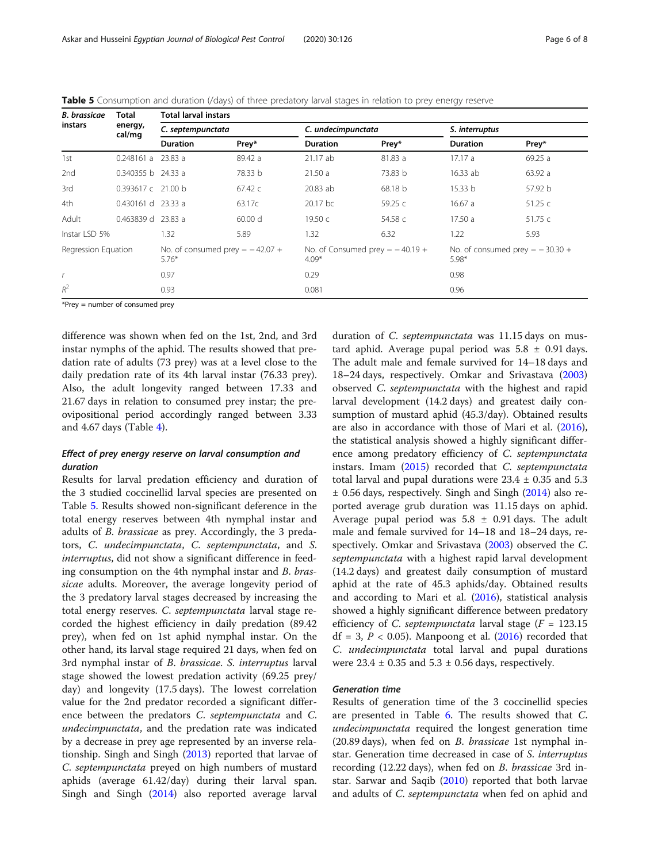| <b>B.</b> brassicae<br>instars | Total                | <b>Total larval instars</b>                    |                 |                                                |           |                                                |         |  |  |  |  |
|--------------------------------|----------------------|------------------------------------------------|-----------------|------------------------------------------------|-----------|------------------------------------------------|---------|--|--|--|--|
|                                | energy,<br>cal/mg    | C. septempunctata                              |                 | C. undecimpunctata                             |           | S. interruptus                                 |         |  |  |  |  |
|                                |                      | <b>Duration</b>                                | Prey*           | <b>Duration</b>                                | Prey*     | <b>Duration</b>                                | Prey*   |  |  |  |  |
| 1st                            | $0.248161 a$ 23.83 a |                                                | 89.42 a         | 21.17 ab                                       | 81.83 a   | 17.17a                                         | 69.25a  |  |  |  |  |
| 2nd                            | $0.340355 b$ 24.33 a |                                                | 78.33 b         | 21.50a                                         | 73.83 b   | 16.33ab                                        | 63.92 a |  |  |  |  |
| 3rd                            | 0.393617 c 21.00 b   |                                                | 67.42 $\subset$ | 20.83 ab                                       | 68.18 b   | 15.33 b                                        | 57.92 b |  |  |  |  |
| 4th                            | 0.430161 d 23.33 a   |                                                | 63.17c          | 20.17 bc                                       | 59.25 $c$ | 16.67a                                         | 51.25c  |  |  |  |  |
| Adult                          | 0.463839 d 23.83 a   |                                                | 60.00 d         | 19.50 $c$                                      | 54.58 c   | 17.50a                                         | 51.75 c |  |  |  |  |
| Instar LSD 5%                  |                      | 1.32                                           | 5.89            | 1.32 <sub>1</sub>                              | 6.32      | 1.22                                           | 5.93    |  |  |  |  |
| Regression Equation            |                      | No. of consumed prey $=$ $-42.07 +$<br>$5.76*$ |                 | No. of Consumed prey $=$ $-40.19 +$<br>$4.09*$ |           | No. of consumed prey $=$ $-30.30 +$<br>$5.98*$ |         |  |  |  |  |
| $\mathsf{r}$                   |                      | 0.97                                           |                 | 0.29                                           |           | 0.98                                           |         |  |  |  |  |
| $R^2$                          |                      | 0.93                                           |                 | 0.081                                          |           | 0.96                                           |         |  |  |  |  |

Table 5 Consumption and duration (/days) of three predatory larval stages in relation to prey energy reserve

\*Prey = number of consumed prey

difference was shown when fed on the 1st, 2nd, and 3rd instar nymphs of the aphid. The results showed that predation rate of adults (73 prey) was at a level close to the daily predation rate of its 4th larval instar (76.33 prey). Also, the adult longevity ranged between 17.33 and 21.67 days in relation to consumed prey instar; the preovipositional period accordingly ranged between 3.33 and 4.67 days (Table [4](#page-4-0)).

# Effect of prey energy reserve on larval consumption and duration

Results for larval predation efficiency and duration of the 3 studied coccinellid larval species are presented on Table 5. Results showed non-significant deference in the total energy reserves between 4th nymphal instar and adults of B. brassicae as prey. Accordingly, the 3 predators, C. undecimpunctata, C. septempunctata, and S. interruptus, did not show a significant difference in feeding consumption on the 4th nymphal instar and B. brassicae adults. Moreover, the average longevity period of the 3 predatory larval stages decreased by increasing the total energy reserves. C. septempunctata larval stage recorded the highest efficiency in daily predation (89.42 prey), when fed on 1st aphid nymphal instar. On the other hand, its larval stage required 21 days, when fed on 3rd nymphal instar of B. brassicae. S. interruptus larval stage showed the lowest predation activity (69.25 prey/ day) and longevity (17.5 days). The lowest correlation value for the 2nd predator recorded a significant difference between the predators C. septempunctata and C. undecimpunctata, and the predation rate was indicated by a decrease in prey age represented by an inverse relationship. Singh and Singh ([2013](#page-7-0)) reported that larvae of C. septempunctata preyed on high numbers of mustard aphids (average 61.42/day) during their larval span. Singh and Singh ([2014](#page-7-0)) also reported average larval

duration of C. septempunctata was 11.15 days on mustard aphid. Average pupal period was  $5.8 \pm 0.91$  days. The adult male and female survived for 14–18 days and 18–24 days, respectively. Omkar and Srivastava ([2003](#page-6-0)) observed C. septempunctata with the highest and rapid larval development (14.2 days) and greatest daily consumption of mustard aphid (45.3/day). Obtained results are also in accordance with those of Mari et al. ([2016](#page-6-0)), the statistical analysis showed a highly significant difference among predatory efficiency of C. septempunctata instars. Imam ([2015](#page-6-0)) recorded that C. septempunctata total larval and pupal durations were  $23.4 \pm 0.35$  and  $5.3$ ± 0.56 days, respectively. Singh and Singh ([2014\)](#page-7-0) also reported average grub duration was 11.15 days on aphid. Average pupal period was  $5.8 \pm 0.91$  days. The adult male and female survived for 14–18 and 18–24 days, re-spectively. Omkar and Srivastava ([2003](#page-6-0)) observed the C. septempunctata with a highest rapid larval development (14.2 days) and greatest daily consumption of mustard aphid at the rate of 45.3 aphids/day. Obtained results and according to Mari et al. [\(2016\)](#page-6-0), statistical analysis showed a highly significant difference between predatory efficiency of C. septempunctata larval stage ( $F = 123.15$  $df = 3, P < 0.05$ ). Manpoong et al. [\(2016\)](#page-6-0) recorded that C. undecimpunctata total larval and pupal durations were  $23.4 \pm 0.35$  and  $5.3 \pm 0.56$  days, respectively.

## Generation time

Results of generation time of the 3 coccinellid species are presented in Table [6.](#page-6-0) The results showed that C. undecimpunctata required the longest generation time (20.89 days), when fed on B. brassicae 1st nymphal instar. Generation time decreased in case of *S. interruptus* recording (12.22 days), when fed on B. brassicae 3rd instar. Sarwar and Saqib [\(2010\)](#page-7-0) reported that both larvae and adults of *C. septempunctata* when fed on aphid and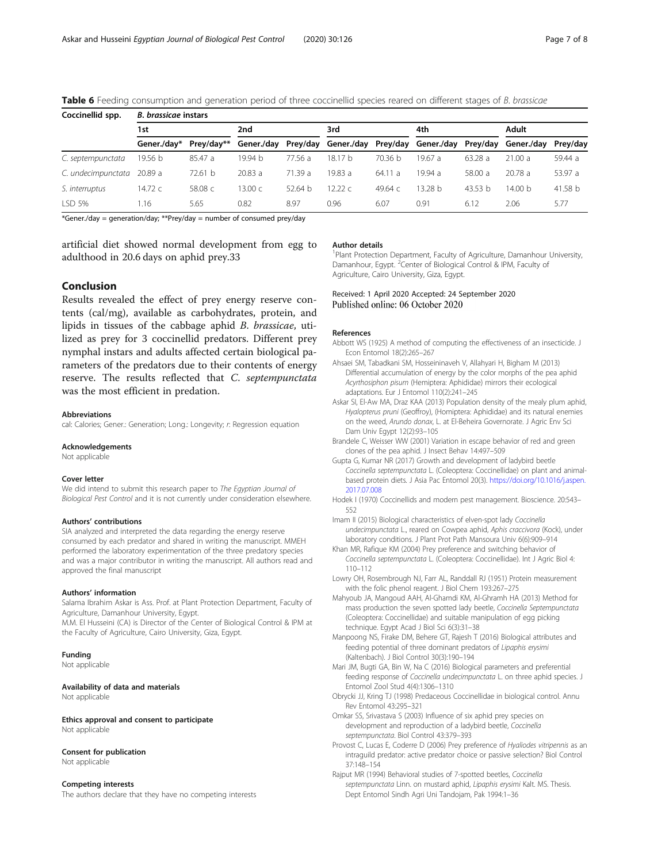| Coccinellid spp.   | <b>B.</b> brassicae instars |            |            |         |                                         |         |         |           |            |          |  |  |  |  |
|--------------------|-----------------------------|------------|------------|---------|-----------------------------------------|---------|---------|-----------|------------|----------|--|--|--|--|
|                    | 1st                         |            | 2nd        |         | 3rd                                     |         | 4th     |           | Adult      |          |  |  |  |  |
|                    | Gener./dav*                 | Prev/dav** | Gener./day |         | Prey/day Gener./day Prey/day Gener./day |         |         | Prey/day  | Gener./dav | Prey/day |  |  |  |  |
| C. septempunctata  | 19.56 b                     | 85.47 a    | 19.94 b    | 77.56 a | 18.17 b                                 | 70.36 b | 19.67 a | 63.28a    | 21.00a     | 59.44 a  |  |  |  |  |
| C. undecimpunctata | 20.89 a                     | 72.61 b    | 20.83a     | 71.39 a | 19.83a                                  | 64.11a  | 19.94 a | 58.00 a   | 20.78a     | 53.97 a  |  |  |  |  |
| S. interruptus     | 14.72 $c$                   | 58.08 c    | 13.00 с    | 52.64 h | 12.22c                                  | 49.64 с | 3.28 b  | 43.53 $b$ | 14.00 b    | 41.58 b  |  |  |  |  |
| LSD 5%             | 1.16                        | 5.65       | 0.82       | 8.97    | 0.96                                    | 6.07    | 0.91    | 6.12      | 2.06       | 5.77     |  |  |  |  |

<span id="page-6-0"></span>Table 6 Feeding consumption and generation period of three coccinellid species reared on different stages of B. brassicae

\*Gener./day = generation/day; \*\*Prey/day = number of consumed prey/day

artificial diet showed normal development from egg to adulthood in 20.6 days on aphid prey.33

# Conclusion

Results revealed the effect of prey energy reserve contents (cal/mg), available as carbohydrates, protein, and lipids in tissues of the cabbage aphid B. brassicae, utilized as prey for 3 coccinellid predators. Different prey nymphal instars and adults affected certain biological parameters of the predators due to their contents of energy reserve. The results reflected that C. septempunctata was the most efficient in predation.

#### Abbreviations

cal: Calories; Gener.: Generation; Long.: Longevity; r: Regression equation

#### Acknowledgements

Not applicable

#### Cover letter

We did intend to submit this research paper to The Egyptian Journal of Biological Pest Control and it is not currently under consideration elsewhere.

#### Authors' contributions

SIA analyzed and interpreted the data regarding the energy reserve consumed by each predator and shared in writing the manuscript. MMEH performed the laboratory experimentation of the three predatory species and was a major contributor in writing the manuscript. All authors read and approved the final manuscript

#### Authors' information

Salama Ibrahim Askar is Ass. Prof. at Plant Protection Department, Faculty of Agriculture, Damanhour University, Egypt.

M.M. El Husseini (CA) is Director of the Center of Biological Control & IPM at the Faculty of Agriculture, Cairo University, Giza, Egypt.

#### Funding

Not applicable

Availability of data and materials Not applicable

Ethics approval and consent to participate Not applicable

#### Consent for publication

Not applicable

#### Competing interests

The authors declare that they have no competing interests

#### Author details

<sup>1</sup>Plant Protection Department, Faculty of Agriculture, Damanhour University Damanhour, Egypt. <sup>2</sup> Center of Biological Control & IPM, Faculty of Agriculture, Cairo University, Giza, Egypt.

## Received: 1 April 2020 Accepted: 24 September 2020 Published online: 06 October 2020

#### References

- Abbott WS (1925) A method of computing the effectiveness of an insecticide. J Econ Entomol 18(2):265–267
- Ahsaei SM, Tabadkani SM, Hosseininaveh V, Allahyari H, Bigham M (2013) Differential accumulation of energy by the color morphs of the pea aphid Acyrthosiphon pisum (Hemiptera: Aphididae) mirrors their ecological adaptations. Eur J Entomol 110(2):241–245
- Askar SI, El-Aw MA, Draz KAA (2013) Population density of the mealy plum aphid, Hyalopterus pruni (Geoffroy), (Homiptera: Aphididae) and its natural enemies on the weed, Arundo donax, L. at El-Beheira Governorate. J Agric Env Sci Dam Univ Egypt 12(2):93–105
- Brandele C, Weisser WW (2001) Variation in escape behavior of red and green clones of the pea aphid. J Insect Behav 14:497–509
- Gupta G, Kumar NR (2017) Growth and development of ladybird beetle Coccinella septempunctata L. (Coleoptera: Coccinellidae) on plant and animalbased protein diets. J Asia Pac Entomol 20(3). [https://doi.org/10.1016/j.aspen.](https://doi.org/10.1016/j.aspen.2017.07.008) [2017.07.008](https://doi.org/10.1016/j.aspen.2017.07.008)
- Hodek I (1970) Coccinellids and modern pest management. Bioscience. 20:543– 552
- Imam II (2015) Biological characteristics of elven-spot lady Coccinella undecimpunctata L., reared on Cowpea aphid, Aphis craccivora (Kock), under laboratory conditions. J Plant Prot Path Mansoura Univ 6(6):909–914
- Khan MR, Rafique KM (2004) Prey preference and switching behavior of Coccinella septempunctata L. (Coleoptera: Coccinellidae). Int J Agric Biol 4: 110–112
- Lowry OH, Rosembrough NJ, Farr AL, Randdall RJ (1951) Protein measurement with the folic phenol reagent. J Biol Chem 193:267–275
- Mahyoub JA, Mangoud AAH, Al-Ghamdi KM, Al-Ghramh HA (2013) Method for mass production the seven spotted lady beetle, Coccinella Septempunctata (Coleoptera: Coccinellidae) and suitable manipulation of egg picking technique. Egypt Acad J Biol Sci 6(3):31–38
- Manpoong NS, Firake DM, Behere GT, Rajesh T (2016) Biological attributes and feeding potential of three dominant predators of Lipaphis erysimi (Kaltenbach). J Biol Control 30(3):190–194
- Mari JM, Bugti GA, Bin W, Na C (2016) Biological parameters and preferential feeding response of Coccinella undecimpunctata L. on three aphid species. J Entomol Zool Stud 4(4):1306–1310
- Obrycki JJ, Kring TJ (1998) Predaceous Coccinellidae in biological control. Annu Rev Entomol 43:295–321
- Omkar SS, Srivastava S (2003) Influence of six aphid prey species on development and reproduction of a ladybird beetle, Coccinella septempunctata. Biol Control 43:379–393
- Provost C, Lucas E, Coderre D (2006) Prey preference of Hyaliodes vitripennis as an intraguild predator: active predator choice or passive selection? Biol Control 37:148–154
- Rajput MR (1994) Behavioral studies of 7-spotted beetles, Coccinella septempunctata Linn. on mustard aphid, Lipaphis erysimi Kalt. MS. Thesis. Dept Entomol Sindh Agri Uni Tandojam, Pak 1994:1–36